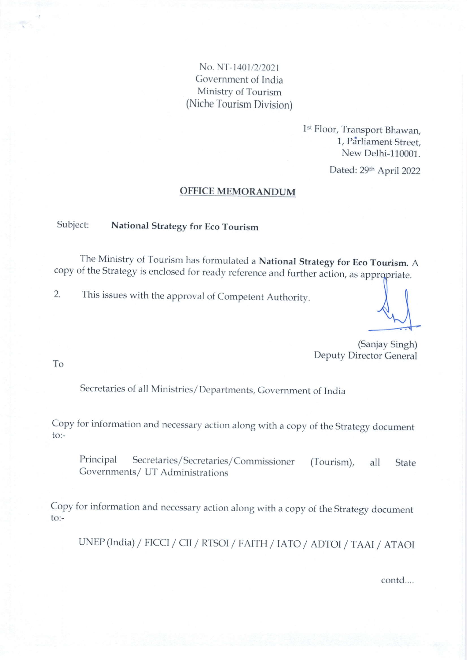No. NT-1401/2/2021 Government of India Ministry of Tourism (Niche Tourism Division)

> 1st Floor, Transport Bhawan, 1, Pdrliament Street, New Delhi-110001.

> > Dated: 29th April 2022

#### OFFICE MEMORANDUM

#### Subject: National Strategy for Eco Tourism

The Ministry of Tourism has formulated a National Strategy for Eco Tourism. A copy of the Strategy is enclosed for ready reference and further action, as appropriate.

2. This issues with the approval of Competent Authority.

(Sanjay Singh) Deputy Director General

To

Secretaries of all Ministries/Departments, Government of India

Copy for information and necessary action along with a copy of the strategy document to:-

Principal Secretaries/Secretaries/Commissioner Governments/ UT Administrations (Tourism), all State

copy for information and necessary action along with a copy of the strategy document to:-

UNEP(India) / FICCI / CII / RTSOI / FAITH / IATO / ADTOI / TAAI / ATAOI

contd....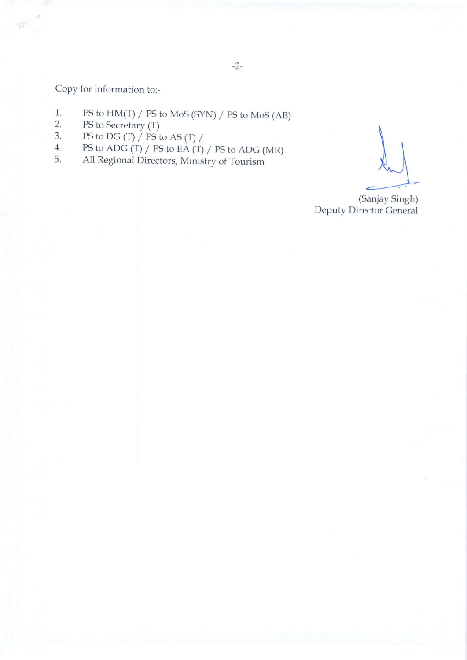Copy for information to:-

- PS to HM(T) / PS to MoS (SYN) / PS to MoS (AB) 1..
- PS to Secretary (T) 2.
- PS to DG (T)  $/$  PS to AS (T)  $/$ .).
- $PS$  to ADG (T) / PS to EA (T) / PS to ADG (MR) 4.
- All Regional Directors, Ministry of Tourism 5.

(Sanjay Singh) Deputy Director General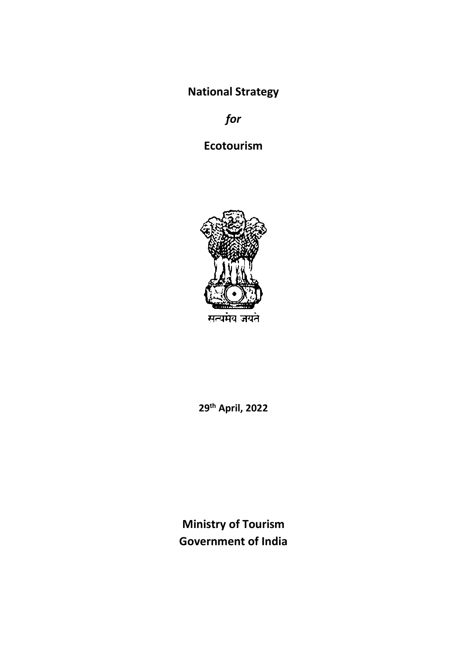**National Strategy**

*for*

**Ecotourism** 



**29th April, 2022**

**Ministry of Tourism Government of India**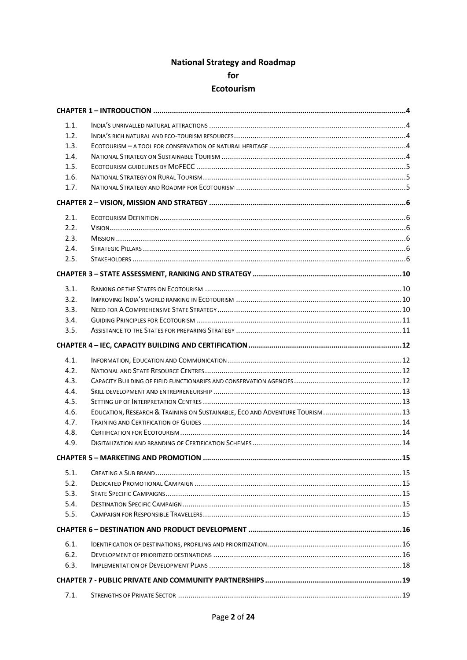# **National Strategy and Roadmap** for

# Ecotourism

| 1.1. |                                                                             |  |
|------|-----------------------------------------------------------------------------|--|
| 1.2. |                                                                             |  |
| 1.3. |                                                                             |  |
| 1.4. |                                                                             |  |
| 1.5. |                                                                             |  |
| 1.6. |                                                                             |  |
| 1.7. |                                                                             |  |
|      |                                                                             |  |
| 2.1. |                                                                             |  |
| 2.2. |                                                                             |  |
| 2.3. |                                                                             |  |
| 2.4. |                                                                             |  |
| 2.5. |                                                                             |  |
|      |                                                                             |  |
| 3.1. |                                                                             |  |
| 3.2. |                                                                             |  |
| 3.3. |                                                                             |  |
| 3.4. |                                                                             |  |
| 3.5. |                                                                             |  |
|      |                                                                             |  |
| 4.1. |                                                                             |  |
| 4.2. |                                                                             |  |
| 4.3. |                                                                             |  |
| 4.4. |                                                                             |  |
| 4.5. |                                                                             |  |
| 4.6. | EDUCATION, RESEARCH & TRAINING ON SUSTAINABLE, ECO AND ADVENTURE TOURISM 13 |  |
| 4.7. |                                                                             |  |
| 4.8. |                                                                             |  |
| 4.9. |                                                                             |  |
|      | CHAPTER 5 – MARKETING AND PROMOTION ……………………………………………………………………………………………15   |  |
| 5.1. |                                                                             |  |
| 5.2. |                                                                             |  |
| 5.3. |                                                                             |  |
| 5.4. |                                                                             |  |
| 5.5. |                                                                             |  |
|      |                                                                             |  |
| 6.1. |                                                                             |  |
| 6.2. |                                                                             |  |
| 6.3. |                                                                             |  |
|      |                                                                             |  |
| 7.1. |                                                                             |  |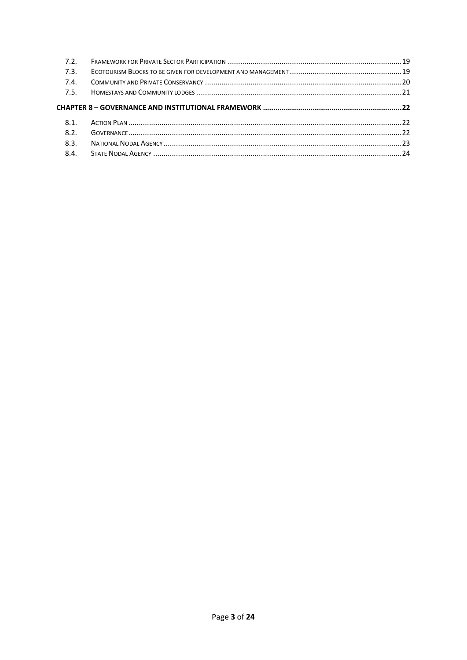| 72           |  |
|--------------|--|
| 7.3.         |  |
| 7.4.         |  |
| 75           |  |
|              |  |
|              |  |
| 8.1.<br>8.2. |  |
| 8.3.         |  |
| 8.4.         |  |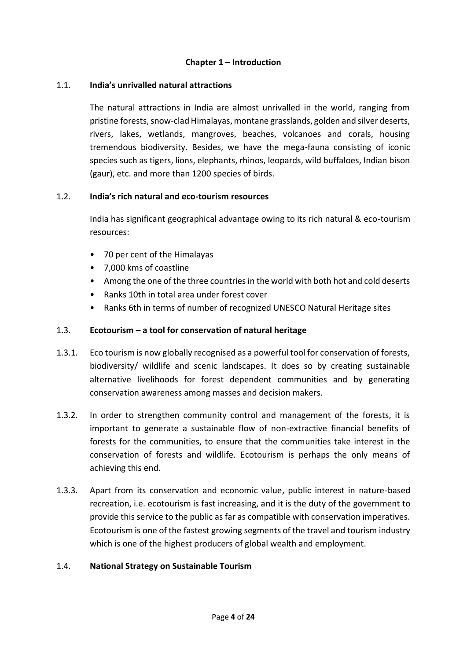## **Chapter 1 – Introduction**

#### <span id="page-5-0"></span>1.1. **India's unrivalled natural attractions**

<span id="page-5-1"></span>The natural attractions in India are almost unrivalled in the world, ranging from pristine forests, snow-clad Himalayas, montane grasslands, golden and silver deserts, rivers, lakes, wetlands, mangroves, beaches, volcanoes and corals, housing tremendous biodiversity. Besides, we have the mega-fauna consisting of iconic species such as tigers, lions, elephants, rhinos, leopards, wild buffaloes, Indian bison (gaur), etc. and more than 1200 species of birds.

#### <span id="page-5-2"></span>1.2. **India's rich natural and eco-tourism resources**

India has significant geographical advantage owing to its rich natural & eco-tourism resources:

- 70 per cent of the Himalayas
- 7,000 kms of coastline
- Among the one of the three countries in the world with both hot and cold deserts
- Ranks 10th in total area under forest cover
- Ranks 6th in terms of number of recognized UNESCO Natural Heritage sites

## <span id="page-5-3"></span>1.3. **Ecotourism – a tool for conservation of natural heritage**

- 1.3.1. Eco tourism is now globally recognised as a powerful tool for conservation of forests, biodiversity/ wildlife and scenic landscapes. It does so by creating sustainable alternative livelihoods for forest dependent communities and by generating conservation awareness among masses and decision makers.
- 1.3.2. In order to strengthen community control and management of the forests, it is important to generate a sustainable flow of non-extractive financial benefits of forests for the communities, to ensure that the communities take interest in the conservation of forests and wildlife. Ecotourism is perhaps the only means of achieving this end.
- 1.3.3. Apart from its conservation and economic value, public interest in nature-based recreation, i.e. ecotourism is fast increasing, and it is the duty of the government to provide this service to the public as far as compatible with conservation imperatives. Ecotourism is one of the fastest growing segments of the travel and tourism industry which is one of the highest producers of global wealth and employment.

#### <span id="page-5-4"></span>1.4. **National Strategy on Sustainable Tourism**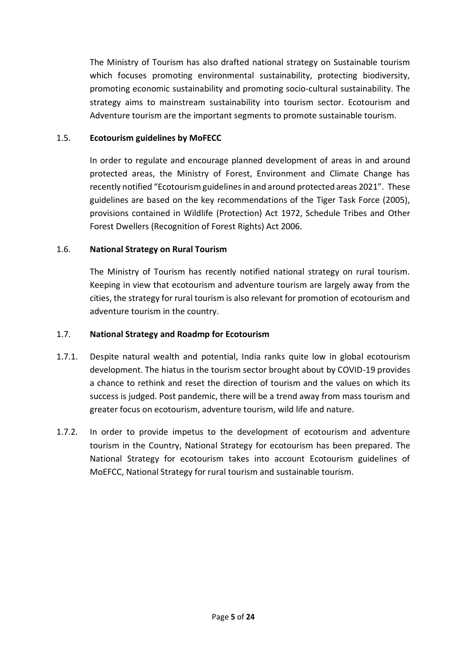The Ministry of Tourism has also drafted national strategy on Sustainable tourism which focuses promoting environmental sustainability, protecting biodiversity, promoting economic sustainability and promoting socio-cultural sustainability. The strategy aims to mainstream sustainability into tourism sector. Ecotourism and Adventure tourism are the important segments to promote sustainable tourism.

## <span id="page-6-0"></span>1.5. **Ecotourism guidelines by MoFECC**

In order to regulate and encourage planned development of areas in and around protected areas, the Ministry of Forest, Environment and Climate Change has recently notified "Ecotourism guidelines in and around protected areas 2021". These guidelines are based on the key recommendations of the Tiger Task Force (2005), provisions contained in Wildlife (Protection) Act 1972, Schedule Tribes and Other Forest Dwellers (Recognition of Forest Rights) Act 2006.

# <span id="page-6-1"></span>1.6. **National Strategy on Rural Tourism**

The Ministry of Tourism has recently notified national strategy on rural tourism. Keeping in view that ecotourism and adventure tourism are largely away from the cities, the strategy for rural tourism is also relevant for promotion of ecotourism and adventure tourism in the country.

# <span id="page-6-2"></span>1.7. **National Strategy and Roadmp for Ecotourism**

- 1.7.1. Despite natural wealth and potential, India ranks quite low in global ecotourism development. The hiatus in the tourism sector brought about by COVID-19 provides a chance to rethink and reset the direction of tourism and the values on which its success is judged. Post pandemic, there will be a trend away from mass tourism and greater focus on ecotourism, adventure tourism, wild life and nature.
- 1.7.2. In order to provide impetus to the development of ecotourism and adventure tourism in the Country, National Strategy for ecotourism has been prepared. The National Strategy for ecotourism takes into account Ecotourism guidelines of MoEFCC, National Strategy for rural tourism and sustainable tourism.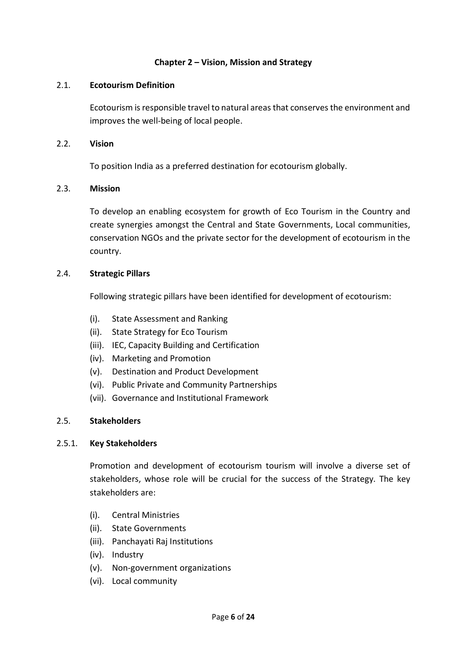## **Chapter 2 – Vision, Mission and Strategy**

#### <span id="page-7-0"></span>2.1. **Ecotourism Definition**

<span id="page-7-1"></span>Ecotourism is responsible travel to natural areas that conserves the environment and improves the well-being of local people.

#### <span id="page-7-2"></span>2.2. **Vision**

To position India as a preferred destination for ecotourism globally.

#### <span id="page-7-3"></span>2.3. **Mission**

To develop an enabling ecosystem for growth of Eco Tourism in the Country and create synergies amongst the Central and State Governments, Local communities, conservation NGOs and the private sector for the development of ecotourism in the country.

#### <span id="page-7-4"></span>2.4. **Strategic Pillars**

Following strategic pillars have been identified for development of ecotourism:

- (i). State Assessment and Ranking
- (ii). State Strategy for Eco Tourism
- (iii). IEC, Capacity Building and Certification
- (iv). Marketing and Promotion
- (v). Destination and Product Development
- (vi). Public Private and Community Partnerships
- (vii). Governance and Institutional Framework

## <span id="page-7-5"></span>2.5. **Stakeholders**

#### 2.5.1. **Key Stakeholders**

Promotion and development of ecotourism tourism will involve a diverse set of stakeholders, whose role will be crucial for the success of the Strategy. The key stakeholders are:

- (i). Central Ministries
- (ii). State Governments
- (iii). Panchayati Raj Institutions
- (iv). Industry
- (v). Non-government organizations
- (vi). Local community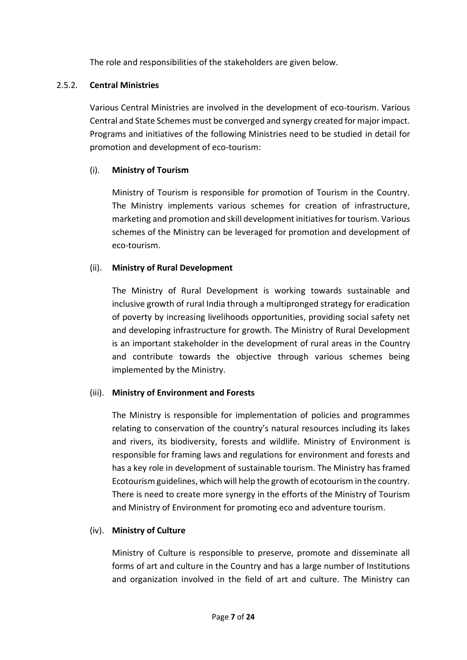The role and responsibilities of the stakeholders are given below.

# 2.5.2. **Central Ministries**

Various Central Ministries are involved in the development of eco-tourism. Various Central and State Schemes must be converged and synergy created for major impact. Programs and initiatives of the following Ministries need to be studied in detail for promotion and development of eco-tourism:

# (i). **Ministry of Tourism**

Ministry of Tourism is responsible for promotion of Tourism in the Country. The Ministry implements various schemes for creation of infrastructure, marketing and promotion and skill development initiatives for tourism. Various schemes of the Ministry can be leveraged for promotion and development of eco-tourism.

# (ii). **Ministry of Rural Development**

The Ministry of Rural Development is working towards sustainable and inclusive growth of rural India through a multipronged strategy for eradication of poverty by increasing livelihoods opportunities, providing social safety net and developing infrastructure for growth. The Ministry of Rural Development is an important stakeholder in the development of rural areas in the Country and contribute towards the objective through various schemes being implemented by the Ministry.

# (iii). **Ministry of Environment and Forests**

The Ministry is responsible for implementation of policies and programmes relating to conservation of the country's natural resources including its lakes and rivers, its biodiversity, forests and wildlife. Ministry of Environment is responsible for framing laws and regulations for environment and forests and has a key role in development of sustainable tourism. The Ministry has framed Ecotourism guidelines, which will help the growth of ecotourism in the country. There is need to create more synergy in the efforts of the Ministry of Tourism and Ministry of Environment for promoting eco and adventure tourism.

# (iv). **Ministry of Culture**

Ministry of Culture is responsible to preserve, promote and disseminate all forms of art and culture in the Country and has a large number of Institutions and organization involved in the field of art and culture. The Ministry can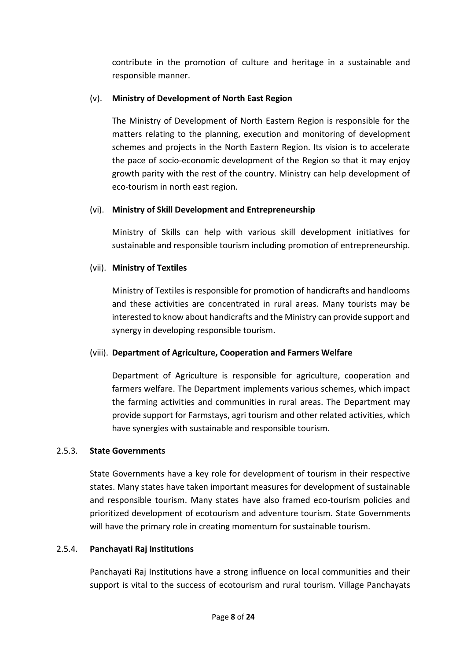contribute in the promotion of culture and heritage in a sustainable and responsible manner.

# (v). **Ministry of Development of North East Region**

The Ministry of Development of North Eastern Region is responsible for the matters relating to the planning, execution and monitoring of development schemes and projects in the North Eastern Region. Its vision is to accelerate the pace of socio-economic development of the Region so that it may enjoy growth parity with the rest of the country. Ministry can help development of eco-tourism in north east region.

# (vi). **Ministry of Skill Development and Entrepreneurship**

Ministry of Skills can help with various skill development initiatives for sustainable and responsible tourism including promotion of entrepreneurship.

# (vii). **Ministry of Textiles**

Ministry of Textiles is responsible for promotion of handicrafts and handlooms and these activities are concentrated in rural areas. Many tourists may be interested to know about handicrafts and the Ministry can provide support and synergy in developing responsible tourism.

# (viii). **Department of Agriculture, Cooperation and Farmers Welfare**

Department of Agriculture is responsible for agriculture, cooperation and farmers welfare. The Department implements various schemes, which impact the farming activities and communities in rural areas. The Department may provide support for Farmstays, agri tourism and other related activities, which have synergies with sustainable and responsible tourism.

## 2.5.3. **State Governments**

State Governments have a key role for development of tourism in their respective states. Many states have taken important measures for development of sustainable and responsible tourism. Many states have also framed eco-tourism policies and prioritized development of ecotourism and adventure tourism. State Governments will have the primary role in creating momentum for sustainable tourism.

# 2.5.4. **Panchayati Raj Institutions**

Panchayati Raj Institutions have a strong influence on local communities and their support is vital to the success of ecotourism and rural tourism. Village Panchayats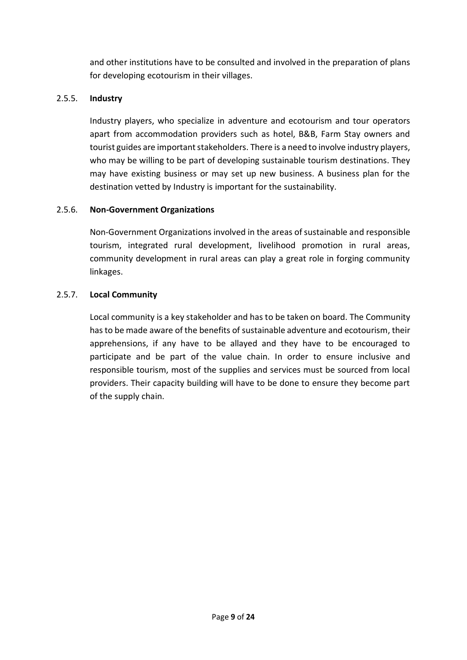and other institutions have to be consulted and involved in the preparation of plans for developing ecotourism in their villages.

# 2.5.5. **Industry**

Industry players, who specialize in adventure and ecotourism and tour operators apart from accommodation providers such as hotel, B&B, Farm Stay owners and tourist guides are important stakeholders. There is a need to involve industry players, who may be willing to be part of developing sustainable tourism destinations. They may have existing business or may set up new business. A business plan for the destination vetted by Industry is important for the sustainability.

# 2.5.6. **Non-Government Organizations**

Non-Government Organizations involved in the areas of sustainable and responsible tourism, integrated rural development, livelihood promotion in rural areas, community development in rural areas can play a great role in forging community linkages.

# 2.5.7. **Local Community**

Local community is a key stakeholder and has to be taken on board. The Community has to be made aware of the benefits of sustainable adventure and ecotourism, their apprehensions, if any have to be allayed and they have to be encouraged to participate and be part of the value chain. In order to ensure inclusive and responsible tourism, most of the supplies and services must be sourced from local providers. Their capacity building will have to be done to ensure they become part of the supply chain.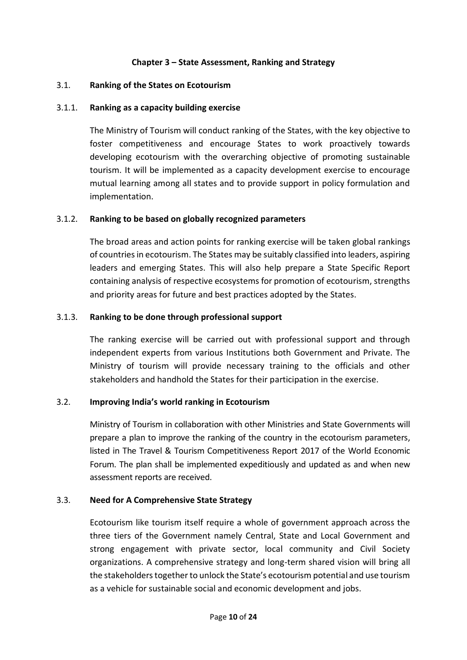## **Chapter 3 – State Assessment, Ranking and Strategy**

#### <span id="page-11-1"></span><span id="page-11-0"></span>3.1. **Ranking of the States on Ecotourism**

## 3.1.1. **Ranking as a capacity building exercise**

The Ministry of Tourism will conduct ranking of the States, with the key objective to foster competitiveness and encourage States to work proactively towards developing ecotourism with the overarching objective of promoting sustainable tourism. It will be implemented as a capacity development exercise to encourage mutual learning among all states and to provide support in policy formulation and implementation.

#### 3.1.2. **Ranking to be based on globally recognized parameters**

The broad areas and action points for ranking exercise will be taken global rankings of countries in ecotourism. The States may be suitably classified into leaders, aspiring leaders and emerging States. This will also help prepare a State Specific Report containing analysis of respective ecosystems for promotion of ecotourism, strengths and priority areas for future and best practices adopted by the States.

#### 3.1.3. **Ranking to be done through professional support**

The ranking exercise will be carried out with professional support and through independent experts from various Institutions both Government and Private. The Ministry of tourism will provide necessary training to the officials and other stakeholders and handhold the States for their participation in the exercise.

## <span id="page-11-2"></span>3.2. **Improving India's world ranking in Ecotourism**

Ministry of Tourism in collaboration with other Ministries and State Governments will prepare a plan to improve the ranking of the country in the ecotourism parameters, listed in The Travel & Tourism Competitiveness Report 2017 of the World Economic Forum. The plan shall be implemented expeditiously and updated as and when new assessment reports are received.

#### <span id="page-11-3"></span>3.3. **Need for A Comprehensive State Strategy**

Ecotourism like tourism itself require a whole of government approach across the three tiers of the Government namely Central, State and Local Government and strong engagement with private sector, local community and Civil Society organizations. A comprehensive strategy and long-term shared vision will bring all the stakeholders together to unlock the State's ecotourism potential and use tourism as a vehicle for sustainable social and economic development and jobs.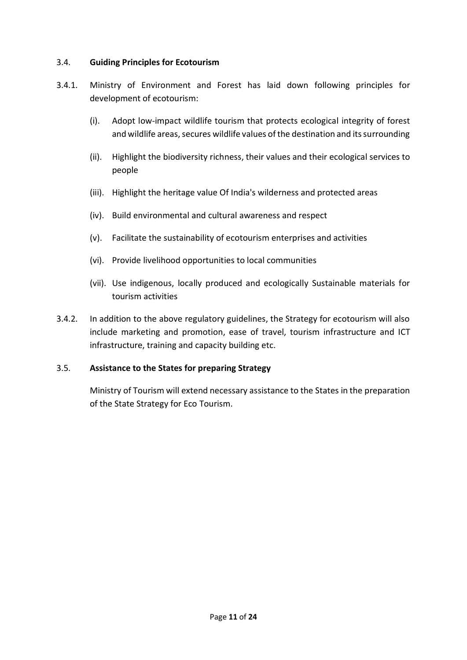## <span id="page-12-0"></span>3.4. **Guiding Principles for Ecotourism**

- 3.4.1. Ministry of Environment and Forest has laid down following principles for development of ecotourism:
	- (i). Adopt low-impact wildlife tourism that protects ecological integrity of forest and wildlife areas, secures wildlife values of the destination and its surrounding
	- (ii). Highlight the biodiversity richness, their values and their ecological services to people
	- (iii). Highlight the heritage value Of India's wilderness and protected areas
	- (iv). Build environmental and cultural awareness and respect
	- (v). Facilitate the sustainability of ecotourism enterprises and activities
	- (vi). Provide livelihood opportunities to local communities
	- (vii). Use indigenous, locally produced and ecologically Sustainable materials for tourism activities
- 3.4.2. In addition to the above regulatory guidelines, the Strategy for ecotourism will also include marketing and promotion, ease of travel, tourism infrastructure and ICT infrastructure, training and capacity building etc.

## <span id="page-12-1"></span>3.5. **Assistance to the States for preparing Strategy**

Ministry of Tourism will extend necessary assistance to the States in the preparation of the State Strategy for Eco Tourism.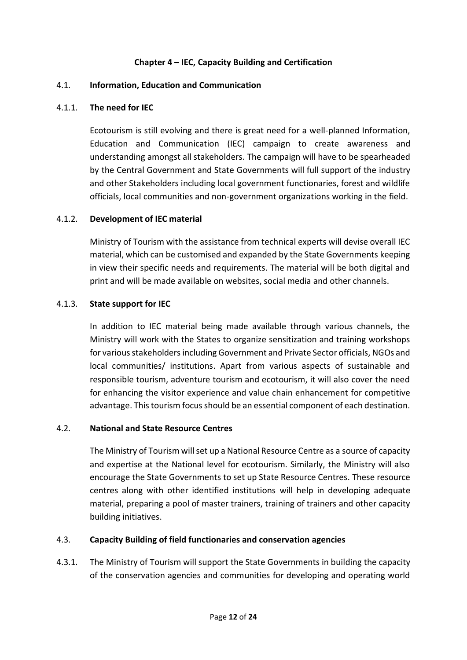## **Chapter 4 – IEC, Capacity Building and Certification**

#### <span id="page-13-1"></span><span id="page-13-0"></span>4.1. **Information, Education and Communication**

#### 4.1.1. **The need for IEC**

Ecotourism is still evolving and there is great need for a well-planned Information, Education and Communication (IEC) campaign to create awareness and understanding amongst all stakeholders. The campaign will have to be spearheaded by the Central Government and State Governments will full support of the industry and other Stakeholders including local government functionaries, forest and wildlife officials, local communities and non-government organizations working in the field.

#### 4.1.2. **Development of IEC material**

Ministry of Tourism with the assistance from technical experts will devise overall IEC material, which can be customised and expanded by the State Governments keeping in view their specific needs and requirements. The material will be both digital and print and will be made available on websites, social media and other channels.

#### 4.1.3. **State support for IEC**

In addition to IEC material being made available through various channels, the Ministry will work with the States to organize sensitization and training workshops for various stakeholders including Government and Private Sector officials, NGOs and local communities/ institutions. Apart from various aspects of sustainable and responsible tourism, adventure tourism and ecotourism, it will also cover the need for enhancing the visitor experience and value chain enhancement for competitive advantage. This tourism focus should be an essential component of each destination.

#### <span id="page-13-2"></span>4.2. **National and State Resource Centres**

The Ministry of Tourism will set up a National Resource Centre as a source of capacity and expertise at the National level for ecotourism. Similarly, the Ministry will also encourage the State Governments to set up State Resource Centres. These resource centres along with other identified institutions will help in developing adequate material, preparing a pool of master trainers, training of trainers and other capacity building initiatives.

#### <span id="page-13-3"></span>4.3. **Capacity Building of field functionaries and conservation agencies**

4.3.1. The Ministry of Tourism will support the State Governments in building the capacity of the conservation agencies and communities for developing and operating world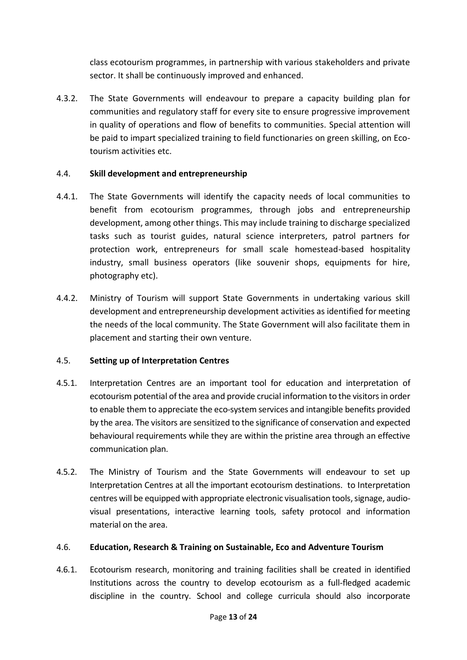class ecotourism programmes, in partnership with various stakeholders and private sector. It shall be continuously improved and enhanced.

4.3.2. The State Governments will endeavour to prepare a capacity building plan for communities and regulatory staff for every site to ensure progressive improvement in quality of operations and flow of benefits to communities. Special attention will be paid to impart specialized training to field functionaries on green skilling, on Ecotourism activities etc.

## <span id="page-14-0"></span>4.4. **Skill development and entrepreneurship**

- 4.4.1. The State Governments will identify the capacity needs of local communities to benefit from ecotourism programmes, through jobs and entrepreneurship development, among other things. This may include training to discharge specialized tasks such as tourist guides, natural science interpreters, patrol partners for protection work, entrepreneurs for small scale homestead-based hospitality industry, small business operators (like souvenir shops, equipments for hire, photography etc).
- 4.4.2. Ministry of Tourism will support State Governments in undertaking various skill development and entrepreneurship development activities as identified for meeting the needs of the local community. The State Government will also facilitate them in placement and starting their own venture.

## <span id="page-14-1"></span>4.5. **Setting up of Interpretation Centres**

- 4.5.1. Interpretation Centres are an important tool for education and interpretation of ecotourism potential of the area and provide crucial information to the visitors in order to enable them to appreciate the eco-system services and intangible benefits provided by the area. The visitors are sensitized to the significance of conservation and expected behavioural requirements while they are within the pristine area through an effective communication plan.
- 4.5.2. The Ministry of Tourism and the State Governments will endeavour to set up Interpretation Centres at all the important ecotourism destinations. to Interpretation centres will be equipped with appropriate electronic visualisation tools, signage, audiovisual presentations, interactive learning tools, safety protocol and information material on the area.

## <span id="page-14-2"></span>4.6. **Education, Research & Training on Sustainable, Eco and Adventure Tourism**

4.6.1. Ecotourism research, monitoring and training facilities shall be created in identified Institutions across the country to develop ecotourism as a full-fledged academic discipline in the country. School and college curricula should also incorporate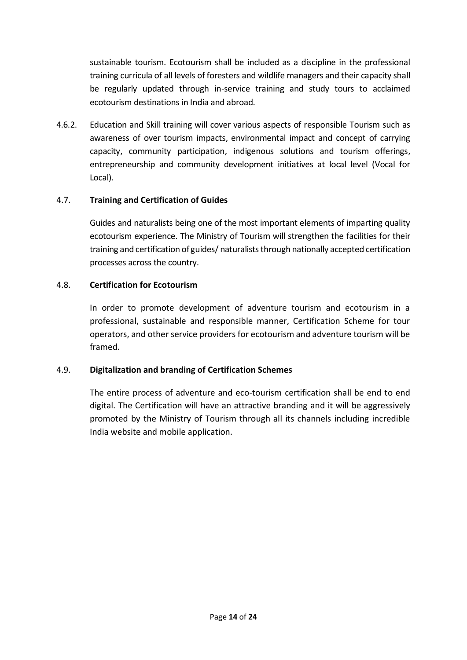sustainable tourism. Ecotourism shall be included as a discipline in the professional training curricula of all levels of foresters and wildlife managers and their capacity shall be regularly updated through in-service training and study tours to acclaimed ecotourism destinations in India and abroad.

4.6.2. Education and Skill training will cover various aspects of responsible Tourism such as awareness of over tourism impacts, environmental impact and concept of carrying capacity, community participation, indigenous solutions and tourism offerings, entrepreneurship and community development initiatives at local level (Vocal for Local).

# <span id="page-15-0"></span>4.7. **Training and Certification of Guides**

Guides and naturalists being one of the most important elements of imparting quality ecotourism experience. The Ministry of Tourism will strengthen the facilities for their training and certification of guides/ naturalists through nationally accepted certification processes across the country.

# <span id="page-15-1"></span>4.8. **Certification for Ecotourism**

In order to promote development of adventure tourism and ecotourism in a professional, sustainable and responsible manner, Certification Scheme for tour operators, and other service providers for ecotourism and adventure tourism will be framed.

# <span id="page-15-2"></span>4.9. **Digitalization and branding of Certification Schemes**

The entire process of adventure and eco-tourism certification shall be end to end digital. The Certification will have an attractive branding and it will be aggressively promoted by the Ministry of Tourism through all its channels including incredible India website and mobile application.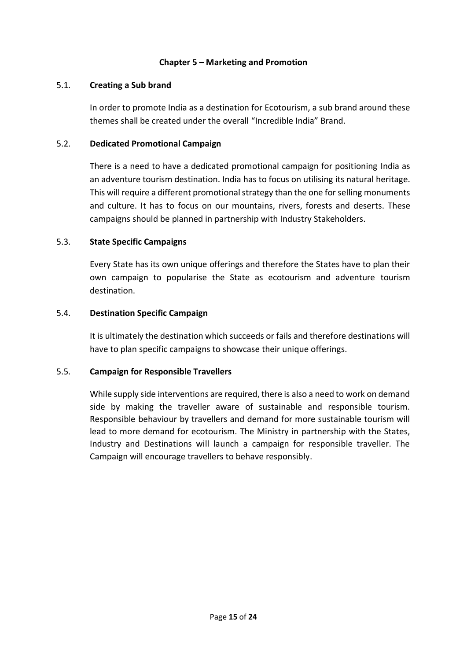## **Chapter 5 – Marketing and Promotion**

#### <span id="page-16-0"></span>5.1. **Creating a Sub brand**

<span id="page-16-1"></span>In order to promote India as a destination for Ecotourism, a sub brand around these themes shall be created under the overall "Incredible India" Brand.

#### <span id="page-16-2"></span>5.2. **Dedicated Promotional Campaign**

There is a need to have a dedicated promotional campaign for positioning India as an adventure tourism destination. India has to focus on utilising its natural heritage. This will require a different promotional strategy than the one for selling monuments and culture. It has to focus on our mountains, rivers, forests and deserts. These campaigns should be planned in partnership with Industry Stakeholders.

#### <span id="page-16-3"></span>5.3. **State Specific Campaigns**

Every State has its own unique offerings and therefore the States have to plan their own campaign to popularise the State as ecotourism and adventure tourism destination.

#### <span id="page-16-4"></span>5.4. **Destination Specific Campaign**

It is ultimately the destination which succeeds or fails and therefore destinations will have to plan specific campaigns to showcase their unique offerings.

#### <span id="page-16-5"></span>5.5. **Campaign for Responsible Travellers**

While supply side interventions are required, there is also a need to work on demand side by making the traveller aware of sustainable and responsible tourism. Responsible behaviour by travellers and demand for more sustainable tourism will lead to more demand for ecotourism. The Ministry in partnership with the States, Industry and Destinations will launch a campaign for responsible traveller. The Campaign will encourage travellers to behave responsibly.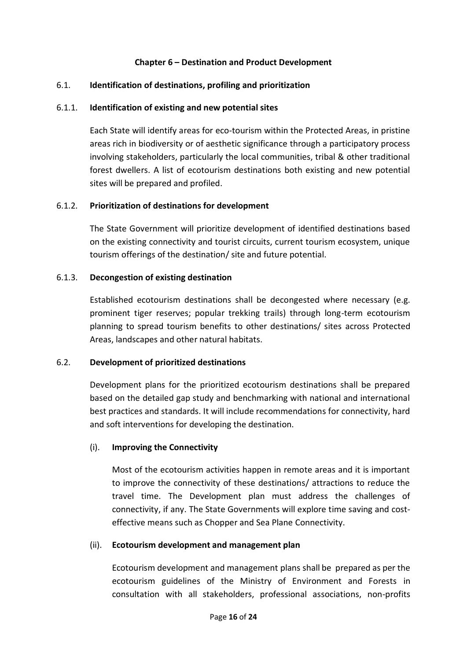## <span id="page-17-0"></span>**Chapter 6 – Destination and Product Development**

## <span id="page-17-1"></span>6.1. **Identification of destinations, profiling and prioritization**

#### 6.1.1. **Identification of existing and new potential sites**

Each State will identify areas for eco-tourism within the Protected Areas, in pristine areas rich in biodiversity or of aesthetic significance through a participatory process involving stakeholders, particularly the local communities, tribal & other traditional forest dwellers. A list of ecotourism destinations both existing and new potential sites will be prepared and profiled.

#### 6.1.2. **Prioritization of destinations for development**

The State Government will prioritize development of identified destinations based on the existing connectivity and tourist circuits, current tourism ecosystem, unique tourism offerings of the destination/ site and future potential.

#### 6.1.3. **Decongestion of existing destination**

Established ecotourism destinations shall be decongested where necessary (e.g. prominent tiger reserves; popular trekking trails) through long-term ecotourism planning to spread tourism benefits to other destinations/ sites across Protected Areas, landscapes and other natural habitats.

#### <span id="page-17-2"></span>6.2. **Development of prioritized destinations**

Development plans for the prioritized ecotourism destinations shall be prepared based on the detailed gap study and benchmarking with national and international best practices and standards. It will include recommendations for connectivity, hard and soft interventions for developing the destination.

## (i). **Improving the Connectivity**

Most of the ecotourism activities happen in remote areas and it is important to improve the connectivity of these destinations/ attractions to reduce the travel time. The Development plan must address the challenges of connectivity, if any. The State Governments will explore time saving and costeffective means such as Chopper and Sea Plane Connectivity.

#### (ii). **Ecotourism development and management plan**

Ecotourism development and management plans shall be prepared as per the ecotourism guidelines of the Ministry of Environment and Forests in consultation with all stakeholders, professional associations, non-profits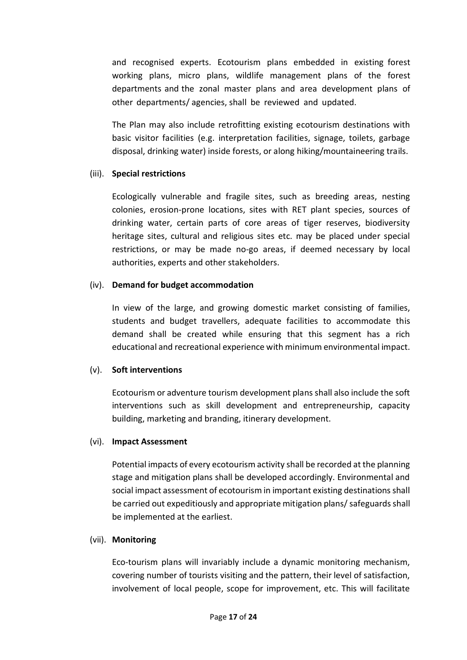and recognised experts. Ecotourism plans embedded in existing forest working plans, micro plans, wildlife management plans of the forest departments and the zonal master plans and area development plans of other departments/ agencies, shall be reviewed and updated.

The Plan may also include retrofitting existing ecotourism destinations with basic visitor facilities (e.g. interpretation facilities, signage, toilets, garbage disposal, drinking water) inside forests, or along hiking/mountaineering trails.

## (iii). **Special restrictions**

Ecologically vulnerable and fragile sites, such as breeding areas, nesting colonies, erosion-prone locations, sites with RET plant species, sources of drinking water, certain parts of core areas of tiger reserves, biodiversity heritage sites, cultural and religious sites etc. may be placed under special restrictions, or may be made no-go areas, if deemed necessary by local authorities, experts and other stakeholders.

#### (iv). **Demand for budget accommodation**

In view of the large, and growing domestic market consisting of families, students and budget travellers, adequate facilities to accommodate this demand shall be created while ensuring that this segment has a rich educational and recreational experience with minimum environmental impact.

## (v). **Soft interventions**

Ecotourism or adventure tourism development plans shall also include the soft interventions such as skill development and entrepreneurship, capacity building, marketing and branding, itinerary development.

## (vi). **Impact Assessment**

Potential impacts of every ecotourism activity shall be recorded at the planning stage and mitigation plans shall be developed accordingly. Environmental and social impact assessment of ecotourism in important existing destinations shall be carried out expeditiously and appropriate mitigation plans/ safeguards shall be implemented at the earliest.

## (vii). **Monitoring**

Eco-tourism plans will invariably include a dynamic monitoring mechanism, covering number of tourists visiting and the pattern, their level of satisfaction, involvement of local people, scope for improvement, etc. This will facilitate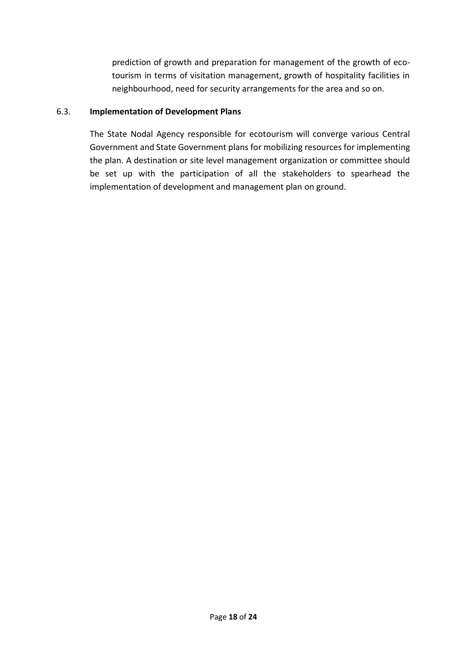prediction of growth and preparation for management of the growth of ecotourism in terms of visitation management, growth of hospitality facilities in neighbourhood, need for security arrangements for the area and so on.

## <span id="page-19-0"></span>6.3. **Implementation of Development Plans**

The State Nodal Agency responsible for ecotourism will converge various Central Government and State Government plans for mobilizing resources for implementing the plan. A destination or site level management organization or committee should be set up with the participation of all the stakeholders to spearhead the implementation of development and management plan on ground.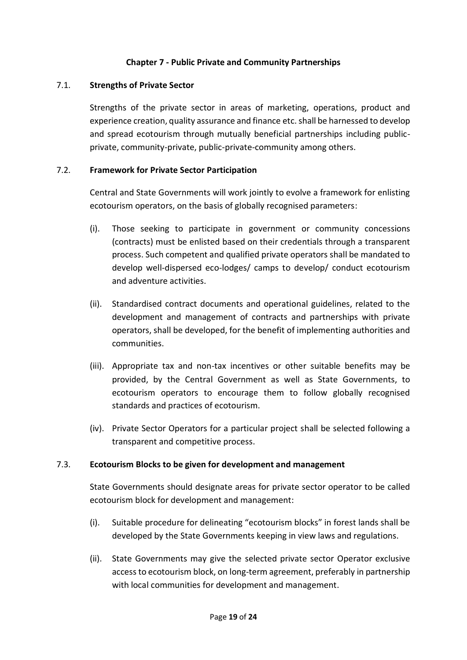## **Chapter 7 - Public Private and Community Partnerships**

#### <span id="page-20-0"></span>7.1. **Strengths of Private Sector**

<span id="page-20-1"></span>Strengths of the private sector in areas of marketing, operations, product and experience creation, quality assurance and finance etc. shall be harnessed to develop and spread ecotourism through mutually beneficial partnerships including publicprivate, community-private, public-private-community among others.

#### <span id="page-20-2"></span>7.2. **Framework for Private Sector Participation**

Central and State Governments will work jointly to evolve a framework for enlisting ecotourism operators, on the basis of globally recognised parameters:

- (i). Those seeking to participate in government or community concessions (contracts) must be enlisted based on their credentials through a transparent process. Such competent and qualified private operators shall be mandated to develop well-dispersed eco-lodges/ camps to develop/ conduct ecotourism and adventure activities.
- (ii). Standardised contract documents and operational guidelines, related to the development and management of contracts and partnerships with private operators, shall be developed, for the benefit of implementing authorities and communities.
- (iii). Appropriate tax and non-tax incentives or other suitable benefits may be provided, by the Central Government as well as State Governments, to ecotourism operators to encourage them to follow globally recognised standards and practices of ecotourism.
- (iv). Private Sector Operators for a particular project shall be selected following a transparent and competitive process.

## <span id="page-20-3"></span>7.3. **Ecotourism Blocks to be given for development and management**

State Governments should designate areas for private sector operator to be called ecotourism block for development and management:

- (i). Suitable procedure for delineating "ecotourism blocks" in forest lands shall be developed by the State Governments keeping in view laws and regulations.
- (ii). State Governments may give the selected private sector Operator exclusive access to ecotourism block, on long-term agreement, preferably in partnership with local communities for development and management.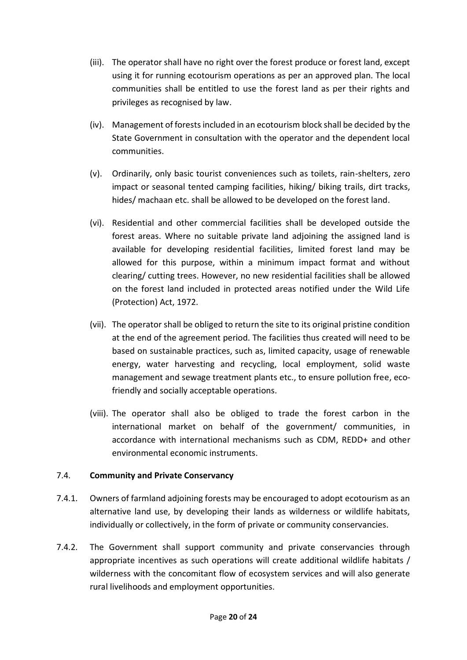- (iii). The operator shall have no right over the forest produce or forest land, except using it for running ecotourism operations as per an approved plan. The local communities shall be entitled to use the forest land as per their rights and privileges as recognised by law.
- (iv). Management of forests included in an ecotourism block shall be decided by the State Government in consultation with the operator and the dependent local communities.
- (v). Ordinarily, only basic tourist conveniences such as toilets, rain-shelters, zero impact or seasonal tented camping facilities, hiking/ biking trails, dirt tracks, hides/ machaan etc. shall be allowed to be developed on the forest land.
- (vi). Residential and other commercial facilities shall be developed outside the forest areas. Where no suitable private land adjoining the assigned land is available for developing residential facilities, limited forest land may be allowed for this purpose, within a minimum impact format and without clearing/ cutting trees. However, no new residential facilities shall be allowed on the forest land included in protected areas notified under the Wild Life (Protection) Act, 1972.
- (vii). The operator shall be obliged to return the site to its original pristine condition at the end of the agreement period. The facilities thus created will need to be based on sustainable practices, such as, limited capacity, usage of renewable energy, water harvesting and recycling, local employment, solid waste management and sewage treatment plants etc., to ensure pollution free, ecofriendly and socially acceptable operations.
- (viii). The operator shall also be obliged to trade the forest carbon in the international market on behalf of the government/ communities, in accordance with international mechanisms such as CDM, REDD+ and other environmental economic instruments.

## <span id="page-21-0"></span>7.4. **Community and Private Conservancy**

- 7.4.1. Owners of farmland adjoining forests may be encouraged to adopt ecotourism as an alternative land use, by developing their lands as wilderness or wildlife habitats, individually or collectively, in the form of private or community conservancies.
- 7.4.2. The Government shall support community and private conservancies through appropriate incentives as such operations will create additional wildlife habitats / wilderness with the concomitant flow of ecosystem services and will also generate rural livelihoods and employment opportunities.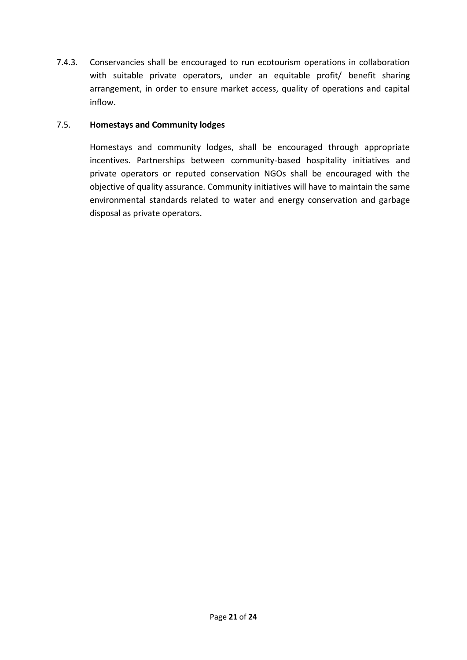7.4.3. Conservancies shall be encouraged to run ecotourism operations in collaboration with suitable private operators, under an equitable profit/ benefit sharing arrangement, in order to ensure market access, quality of operations and capital inflow.

## <span id="page-22-0"></span>7.5. **Homestays and Community lodges**

Homestays and community lodges, shall be encouraged through appropriate incentives. Partnerships between community-based hospitality initiatives and private operators or reputed conservation NGOs shall be encouraged with the objective of quality assurance. Community initiatives will have to maintain the same environmental standards related to water and energy conservation and garbage disposal as private operators.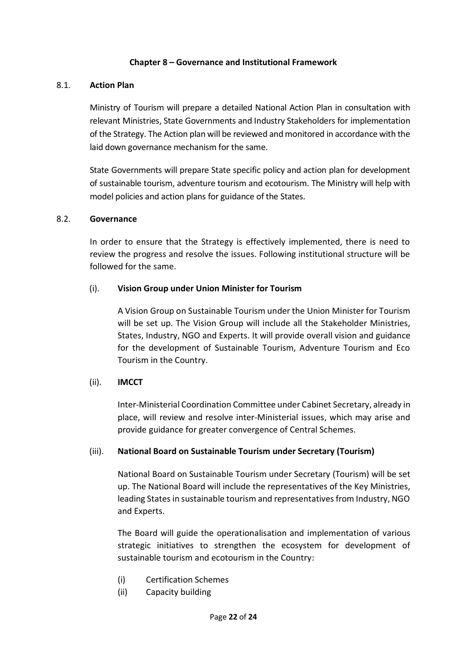## **Chapter 8 – Governance and Institutional Framework**

#### <span id="page-23-0"></span>8.1. **Action Plan**

<span id="page-23-1"></span>Ministry of Tourism will prepare a detailed National Action Plan in consultation with relevant Ministries, State Governments and Industry Stakeholders for implementation of the Strategy. The Action plan will be reviewed and monitored in accordance with the laid down governance mechanism for the same.

State Governments will prepare State specific policy and action plan for development of sustainable tourism, adventure tourism and ecotourism. The Ministry will help with model policies and action plans for guidance of the States.

#### <span id="page-23-2"></span>8.2. **Governance**

In order to ensure that the Strategy is effectively implemented, there is need to review the progress and resolve the issues. Following institutional structure will be followed for the same.

#### (i). **Vision Group under Union Minister for Tourism**

A Vision Group on Sustainable Tourism under the Union Minister for Tourism will be set up. The Vision Group will include all the Stakeholder Ministries, States, Industry, NGO and Experts. It will provide overall vision and guidance for the development of Sustainable Tourism, Adventure Tourism and Eco Tourism in the Country.

## (ii). **IMCCT**

Inter-Ministerial Coordination Committee under Cabinet Secretary, already in place, will review and resolve inter-Ministerial issues, which may arise and provide guidance for greater convergence of Central Schemes.

## (iii). **National Board on Sustainable Tourism under Secretary (Tourism)**

National Board on Sustainable Tourism under Secretary (Tourism) will be set up. The National Board will include the representatives of the Key Ministries, leading States in sustainable tourism and representatives from Industry, NGO and Experts.

The Board will guide the operationalisation and implementation of various strategic initiatives to strengthen the ecosystem for development of sustainable tourism and ecotourism in the Country:

- (i) Certification Schemes
- (ii) Capacity building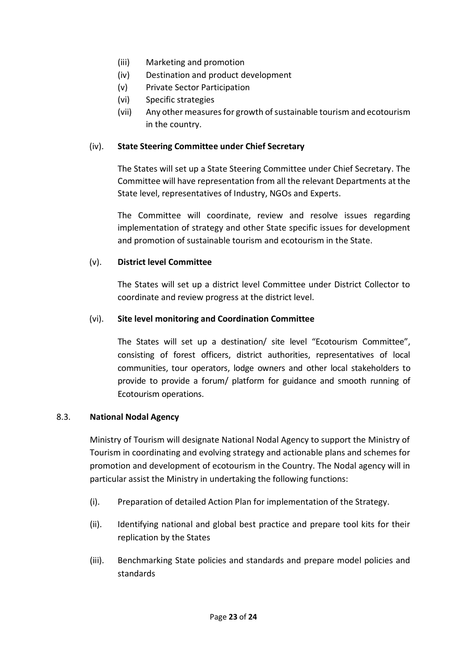- (iii) Marketing and promotion
- (iv) Destination and product development
- (v) Private Sector Participation
- (vi) Specific strategies
- (vii) Any other measures for growth of sustainable tourism and ecotourism in the country.

## (iv). **State Steering Committee under Chief Secretary**

The States will set up a State Steering Committee under Chief Secretary. The Committee will have representation from all the relevant Departments at the State level, representatives of Industry, NGOs and Experts.

The Committee will coordinate, review and resolve issues regarding implementation of strategy and other State specific issues for development and promotion of sustainable tourism and ecotourism in the State.

# (v). **District level Committee**

The States will set up a district level Committee under District Collector to coordinate and review progress at the district level.

## (vi). **Site level monitoring and Coordination Committee**

The States will set up a destination/ site level "Ecotourism Committee", consisting of forest officers, district authorities, representatives of local communities, tour operators, lodge owners and other local stakeholders to provide to provide a forum/ platform for guidance and smooth running of Ecotourism operations.

## <span id="page-24-0"></span>8.3. **National Nodal Agency**

Ministry of Tourism will designate National Nodal Agency to support the Ministry of Tourism in coordinating and evolving strategy and actionable plans and schemes for promotion and development of ecotourism in the Country. The Nodal agency will in particular assist the Ministry in undertaking the following functions:

- (i). Preparation of detailed Action Plan for implementation of the Strategy.
- (ii). Identifying national and global best practice and prepare tool kits for their replication by the States
- (iii). Benchmarking State policies and standards and prepare model policies and standards